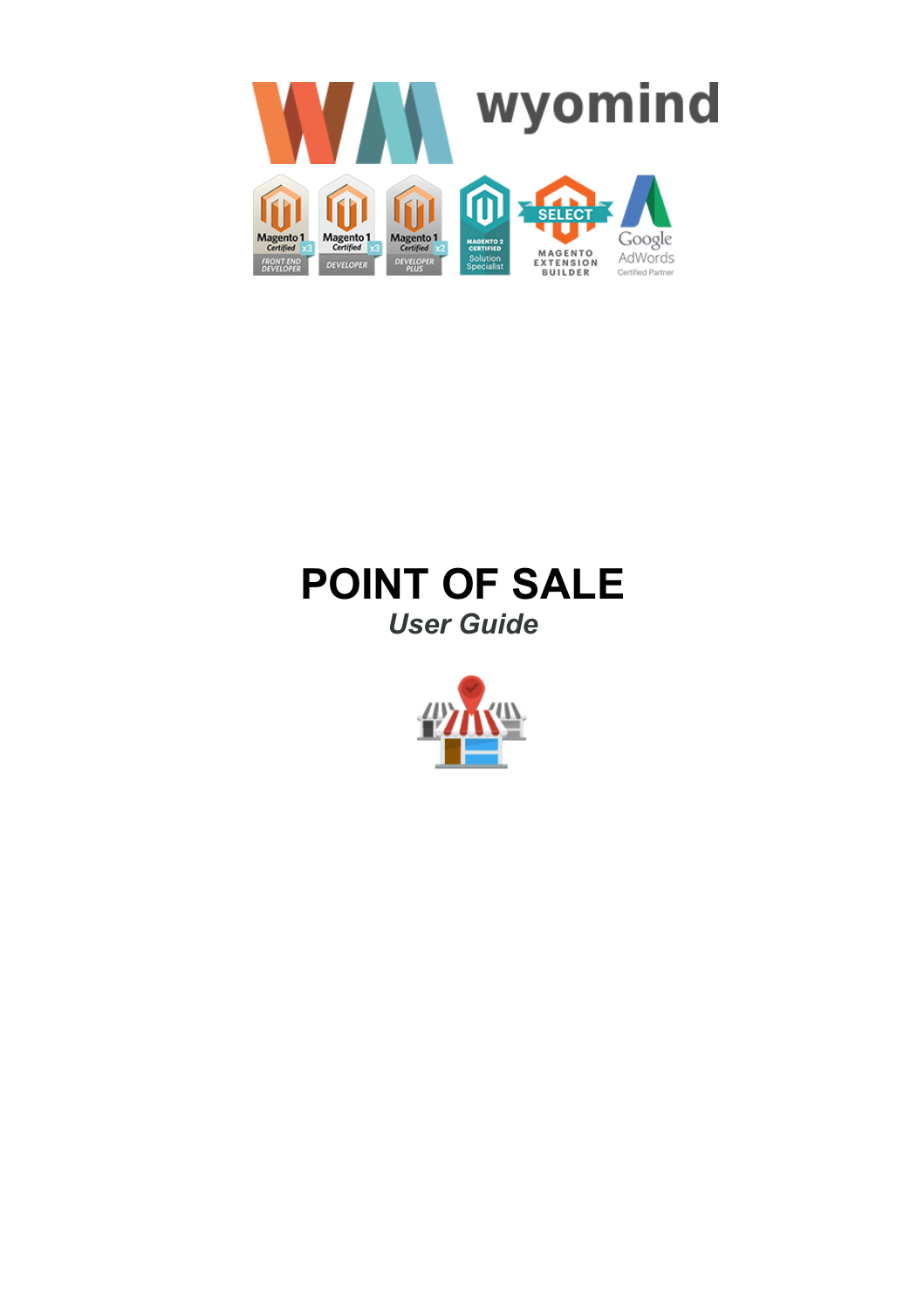

# **POINT OF SALE** *User Guide*

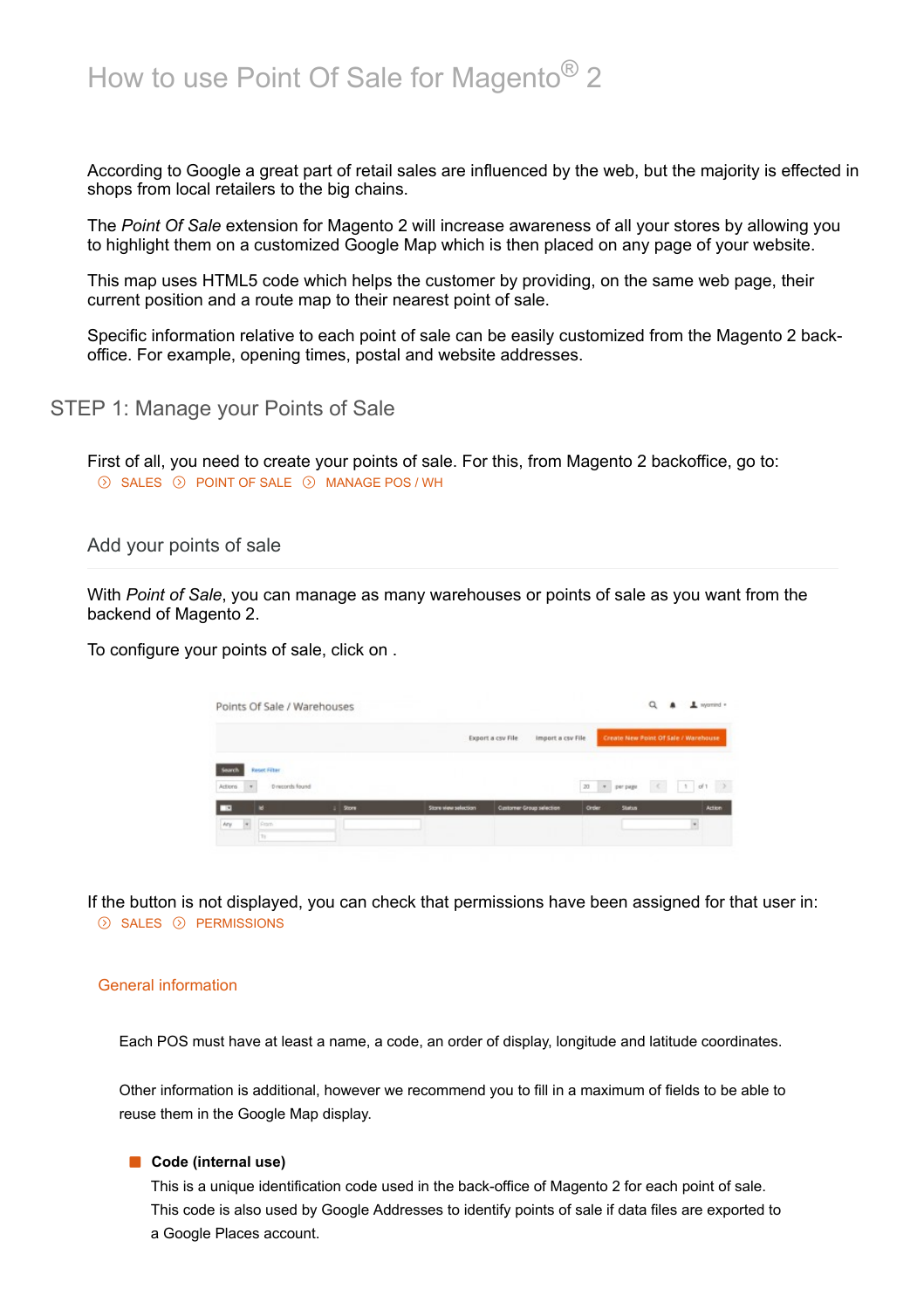According to Google a great part of retail sales are influenced by the web, but the majority is effected in shops from local retailers to the big chains.

The *Point Of Sale* extension for Magento 2 will increase awareness of all your stores by allowing you to highlight them on a customized Google Map which is then placed on any page of your website.

This map uses HTML5 code which helps the customer by providing, on the same web page, their current position and a route map to their nearest point of sale.

Specific information relative to each point of sale can be easily customized from the Magento 2 backoffice. For example, opening times, postal and website addresses.

STEP 1: Manage your Points of Sale

First of all, you need to create your points of sale. For this, from Magento 2 backoffice, go to:  $\odot$  SALES  $\odot$  POINT OF SALE  $\odot$  MANAGE POS / WH

Add your points of sale

With *Point of Sale*, you can manage as many warehouses or points of sale as you want from the backend of Magento 2.

To configure your points of sale, click on .

|                      | Points Of Sale / Warehouses |              |                     |                                        |               | Q             | $\perp$ nyomind $*$                  |
|----------------------|-----------------------------|--------------|---------------------|----------------------------------------|---------------|---------------|--------------------------------------|
|                      |                             |              |                     | Export a csv File<br>Import a csv File |               |               | Create New Point Of Sale / Warehouse |
| <b>Gourci</b>        | Reset Filter                |              |                     |                                        | 20 + per page |               | $4 - 1 - 61$<br>$\rightarrow$        |
| $\bullet$<br>Actions | D records found             |              |                     |                                        |               |               |                                      |
|                      | м                           | <b>Store</b> | Store wew selection | <b>Customer Group selection</b>        | Order         | <b>Status</b> | <b>Action</b>                        |
| Ary<br>×             | From                        |              |                     |                                        |               |               |                                      |

If the button is not displayed, you can check that permissions have been assigned for that user in:  $\odot$  SALES  $\odot$  PERMISSIONS

## General information

Each POS must have at least a name, a code, an order of display, longitude and latitude coordinates.

Other information is additional, however we recommend you to fill in a maximum of fields to be able to reuse them in the Google Map display.

## **Code (internal use)**

This is a unique identification code used in the back-office of Magento 2 for each point of sale. This code is also used by Google Addresses to identify points of sale if data files are exported to a Google Places account.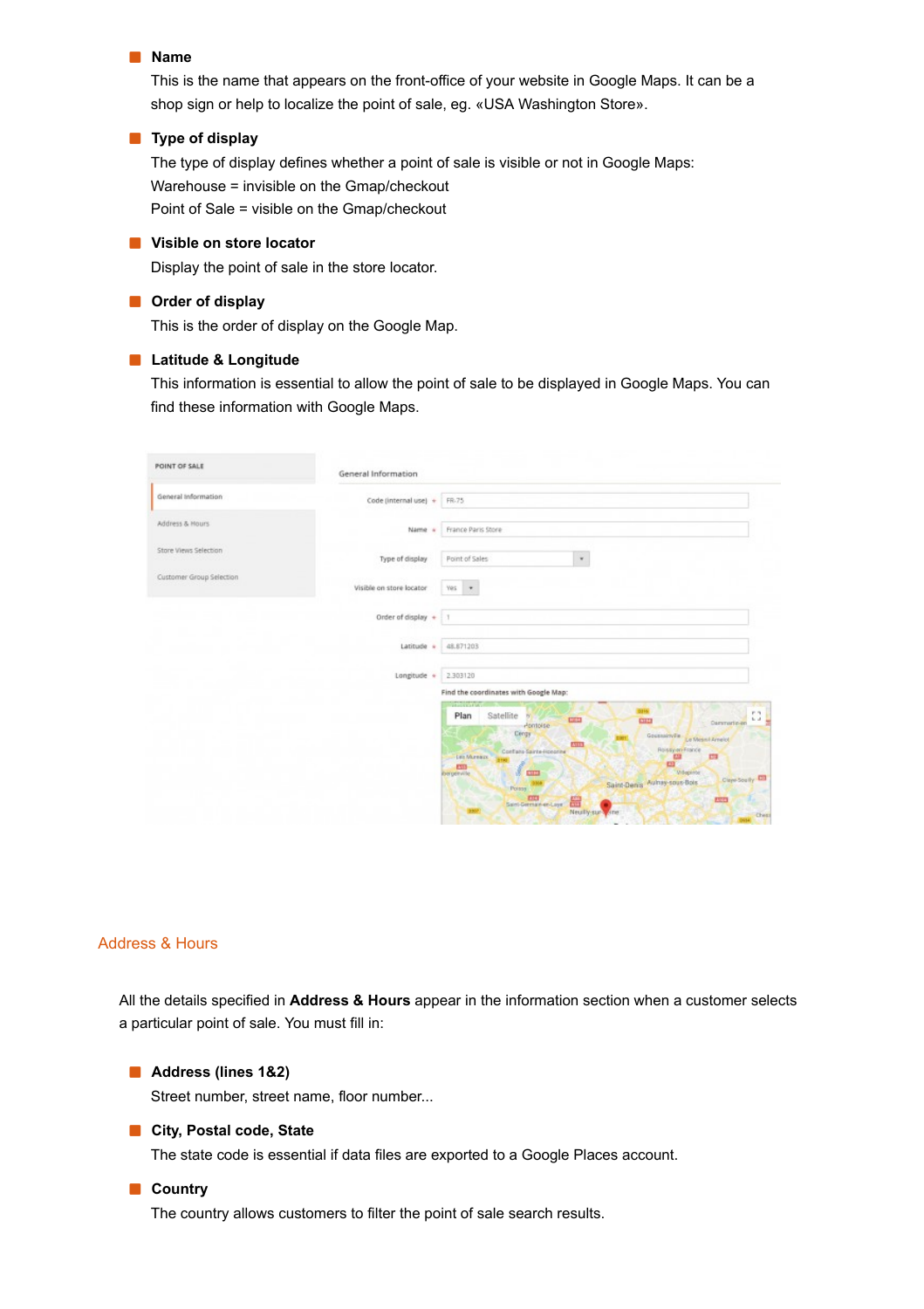#### **Name**

This is the name that appears on the front-office of your website in Google Maps. It can be a shop sign or help to localize the point of sale, eg. «USA Washington Store».

#### **Type of display**

The type of display defines whether a point of sale is visible or not in Google Maps: Warehouse = invisible on the Gmap/checkout Point of Sale = visible on the Gmap/checkout

#### **Visible on store locator**

Display the point of sale in the store locator.

## **Order of display**

This is the order of display on the Google Map.

## **Latitude & Longitude**

This information is essential to allow the point of sale to be displayed in Google Maps. You can find these information with Google Maps.

| POINT OF SALE            | General Information                                                                                                                                                                                                                                                                                                                                                                                                                                                                                                               |
|--------------------------|-----------------------------------------------------------------------------------------------------------------------------------------------------------------------------------------------------------------------------------------------------------------------------------------------------------------------------------------------------------------------------------------------------------------------------------------------------------------------------------------------------------------------------------|
| General Information      | Code (internal use) +<br>FR-75                                                                                                                                                                                                                                                                                                                                                                                                                                                                                                    |
| Address & Hours          | France Paris Store<br>Name<br>-4                                                                                                                                                                                                                                                                                                                                                                                                                                                                                                  |
| Store Views Selection    | Type of display<br>Point of Sales<br>$\star$                                                                                                                                                                                                                                                                                                                                                                                                                                                                                      |
| Customer Group Selection | Visible on store locator<br>Yes *                                                                                                                                                                                                                                                                                                                                                                                                                                                                                                 |
|                          | Order of display $+$   1                                                                                                                                                                                                                                                                                                                                                                                                                                                                                                          |
|                          | 48.871203<br>Latitude +                                                                                                                                                                                                                                                                                                                                                                                                                                                                                                           |
|                          | Longitude +<br>2.303120                                                                                                                                                                                                                                                                                                                                                                                                                                                                                                           |
|                          | Find the coordinates with Google Map:<br>administrative.<br>73.<br>33160<br>P.S.<br>Satellite<br>Plan<br>$^{19}$<br>to at<br>CED<br><b>CITY</b><br>Dammarin-en<br>Pontoise<br>Cergy<br>Goussairville<br>Le Mesni Amelot<br>25113<br>Rossym-France<br>Conflato Sainte-Honorine<br>Les Mureaux<br>23<br>131<br>$\mathbf{C}$<br>$\ell$ and<br><b>CITY</b><br><b>Wilepinser</b><br><b>Riergenville</b><br>Circultown CO<br>Saint-Denis Auhay-sous-Bois<br>Points<br>Sant Comprenting<br>膃<br><b>ESSO</b><br>Neully-sur-syste<br>Chess |

## Address & Hours

All the details specified in **Address & Hours** appear in the information section when a customer selects a particular point of sale. You must fill in:

#### **Address (lines 1&2)**

Street number, street name, floor number...

## **City, Postal code, State**

The state code is essential if data files are exported to a Google Places account.

## **Country**

The country allows customers to filter the point of sale search results.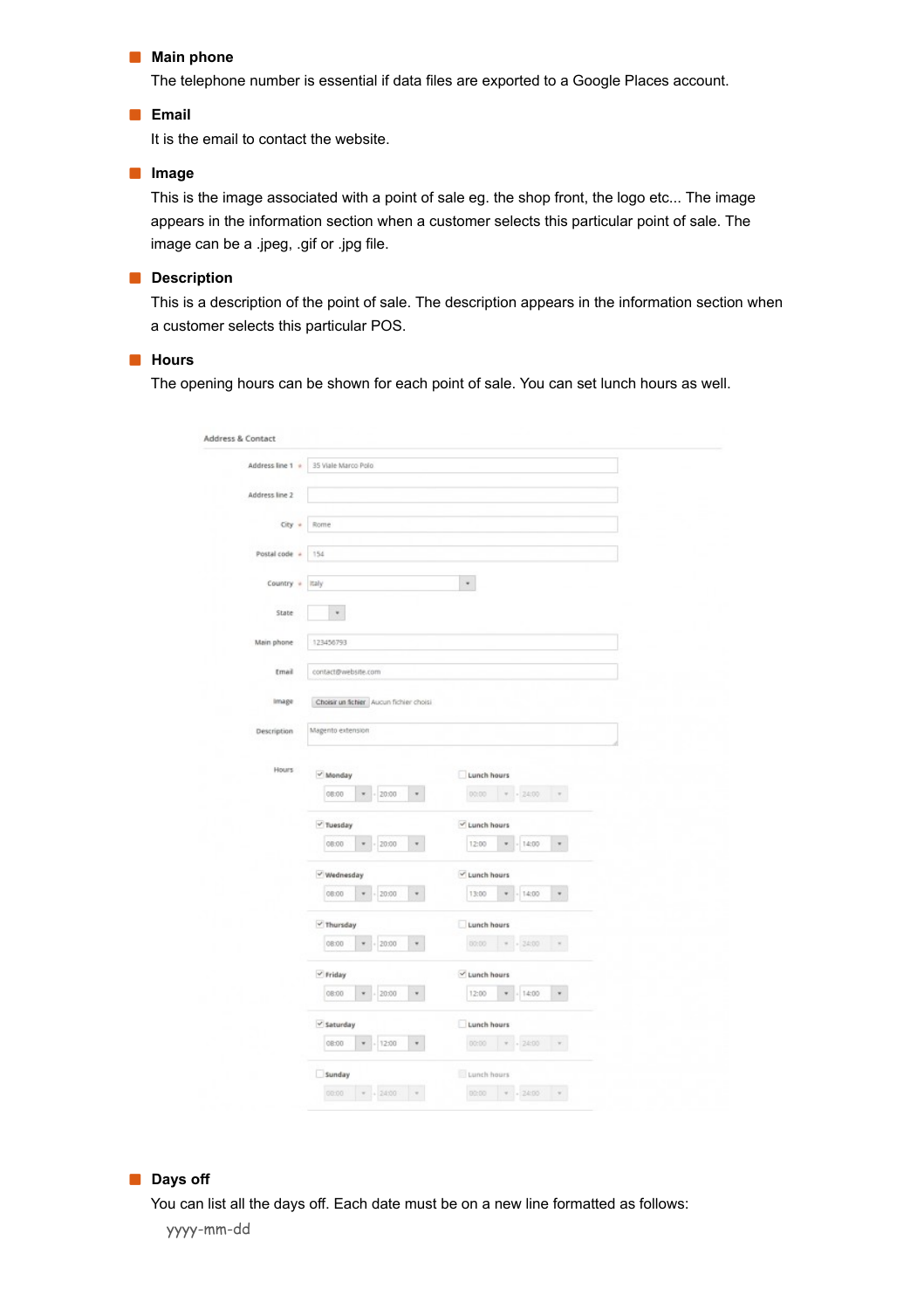#### **Main phone**

The telephone number is essential if data files are exported to a Google Places account.

## **Email**

It is the email to contact the website.

#### **Image**

This is the image associated with a point of sale eg. the shop front, the logo etc... The image appears in the information section when a customer selects this particular point of sale. The image can be a .jpeg, .gif or .jpg file.

### **Description**

This is a description of the point of sale. The description appears in the information section when a customer selects this particular POS.

### **Hours**

The opening hours can be shown for each point of sale. You can set lunch hours as well.

| Address line 2<br>$City +$<br>Postal code + | Rome                                    |       |                           |             |                         |                 |  |
|---------------------------------------------|-----------------------------------------|-------|---------------------------|-------------|-------------------------|-----------------|--|
|                                             |                                         |       |                           |             |                         |                 |  |
|                                             |                                         |       |                           |             |                         |                 |  |
|                                             |                                         |       |                           |             |                         |                 |  |
|                                             | 154                                     |       |                           |             |                         |                 |  |
| Country =                                   | Italy                                   |       |                           | $\star$     |                         |                 |  |
| State                                       | $\ast$                                  |       |                           |             |                         |                 |  |
|                                             |                                         |       |                           |             |                         |                 |  |
| Main phone                                  | 123456793                               |       |                           |             |                         |                 |  |
| Email                                       | contact@website.com                     |       |                           |             |                         |                 |  |
| Image                                       | Choisir un fichier Aucun fichier choisi |       |                           |             |                         |                 |  |
| Description                                 | Magento extension                       |       |                           |             |                         |                 |  |
|                                             |                                         |       |                           |             |                         |                 |  |
| Hours                                       | v Monday                                |       |                           | Lunch hours |                         |                 |  |
|                                             | 08:00                                   | 20:00 | $\scriptstyle\rm w$       | 00:00       | $+ - 2400$              | $\tau$          |  |
|                                             | $\vee$ Tuesday                          |       |                           | Lunch hours |                         |                 |  |
|                                             | 08:00                                   | 20:00 | $\overline{\phantom{a}}$  | 12:00       | 14:00                   | $\pi$           |  |
|                                             | $\checkmark$ Wednesday                  |       |                           | Lunch hours |                         |                 |  |
|                                             | 08:00<br>٠                              | 20:00 | $\scriptstyle\rm w$       | 13:00       | 14:00<br>$\blacksquare$ | $\mathbf{v}$    |  |
|                                             | $\vee$ Thursday                         |       |                           | Lunch hours |                         |                 |  |
|                                             | 08:00                                   | 20:00 | $\tau$                    | 00:00       | $= 24:00$               | $\mathcal{R}$ . |  |
|                                             | $\checkmark$ Friday                     |       |                           | Lunch hours |                         |                 |  |
|                                             | 08:00                                   | 20:00 | $\boldsymbol{\mathrm{w}}$ | 12:00       | 14:00<br>٠              | $\mathbf{v}$    |  |
|                                             | $\vee$ Saturday                         |       |                           | Lunch hours |                         |                 |  |
|                                             | 08:00<br>٠                              | 12:00 | $\scriptstyle\rm w$       |             | $00:00$ $*$ $*$ 24:00   | $\pi$ .         |  |
|                                             | Sunday                                  |       |                           | Lunch hours |                         |                 |  |

## **Days off**

You can list all the days off. Each date must be on a new line formatted as follows: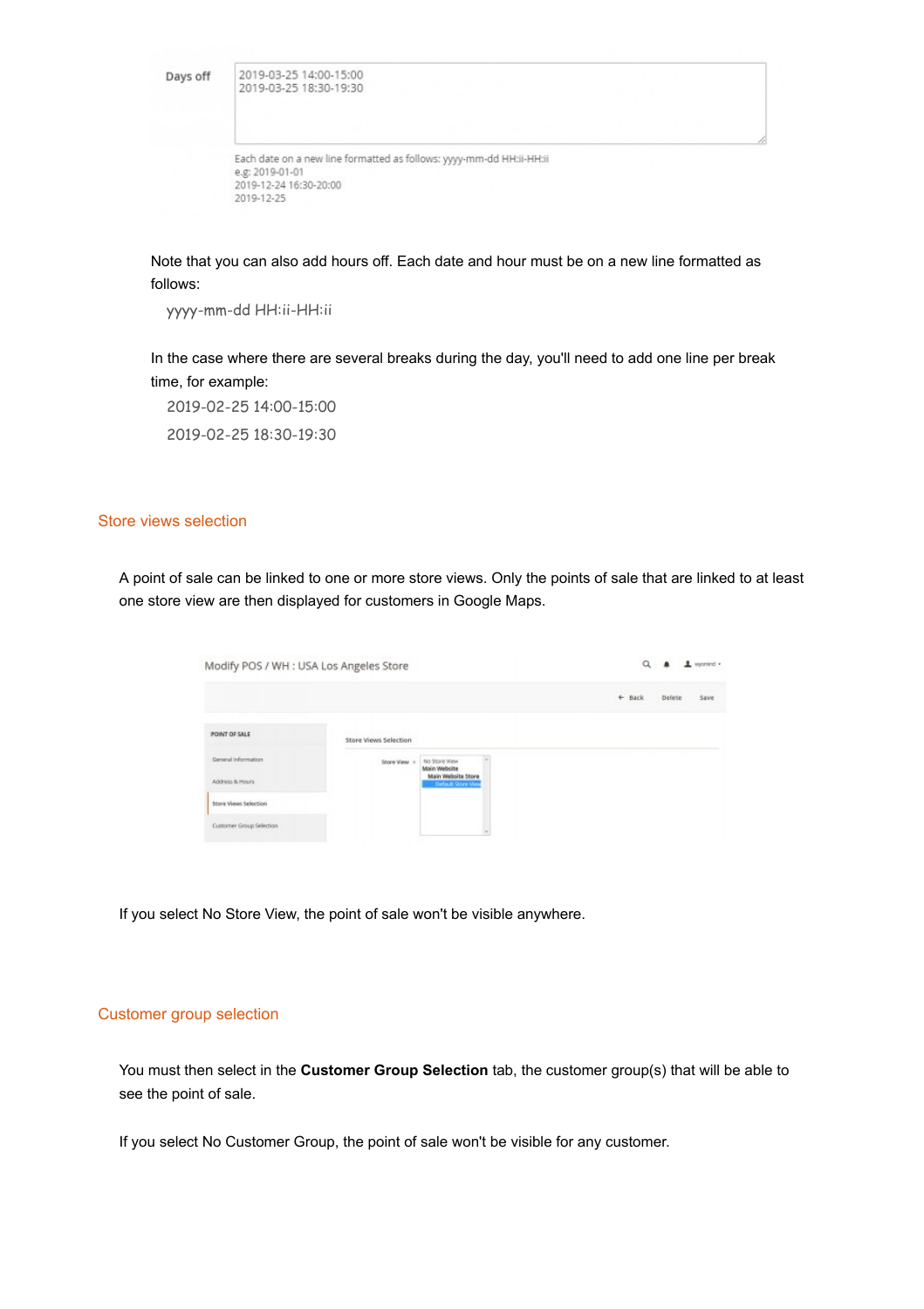Days off

| 2019-03-25 14:00-15:00 |  |
|------------------------|--|
| 2019-03-25 18:30-19:30 |  |

| Each date on a new line formatted as follows: yyyy-mm-dd HH:ii-HH:ii |  |
|----------------------------------------------------------------------|--|
| e.g: 2019-01-01                                                      |  |
| 2019-12-24 16:30-20:00                                               |  |
| 2019-12-25                                                           |  |

Note that you can also add hours off. Each date and hour must be on a new line formatted as follows:

yyyy-mm-dd HH:ii-HH:ii

In the case where there are several breaks during the day, you'll need to add one line per break time, for example:

2019-02-25 14:00-15:00 2019-02-25 18:30-19:30

## Store views selection

A point of sale can be linked to one or more store views. Only the points of sale that are linked to at least one store view are then displayed for customers in Google Maps.

| Modify POS / WH: USA Los Angeles Store |                                                 |                                                     |  | $\alpha$          |        | $1$ womind $r$ |
|----------------------------------------|-------------------------------------------------|-----------------------------------------------------|--|-------------------|--------|----------------|
|                                        |                                                 |                                                     |  | $\leftarrow$ Back | Delete | Save           |
| POINT OF SALE                          | <b>SCIENTIFICATION</b><br>Store Views Selection |                                                     |  |                   |        |                |
| General information<br>Address & Hours | Store View +                                    | No Store View<br>Main Website<br>Main Website Store |  |                   |        |                |
| Store Views Selection                  |                                                 | Default Store View                                  |  |                   |        |                |
| Customer Group Selection               |                                                 |                                                     |  |                   |        |                |

If you select No Store View, the point of sale won't be visible anywhere.

## Customer group selection

You must then select in the **Customer Group Selection** tab, the customer group(s) that will be able to see the point of sale.

If you select No Customer Group, the point of sale won't be visible for any customer.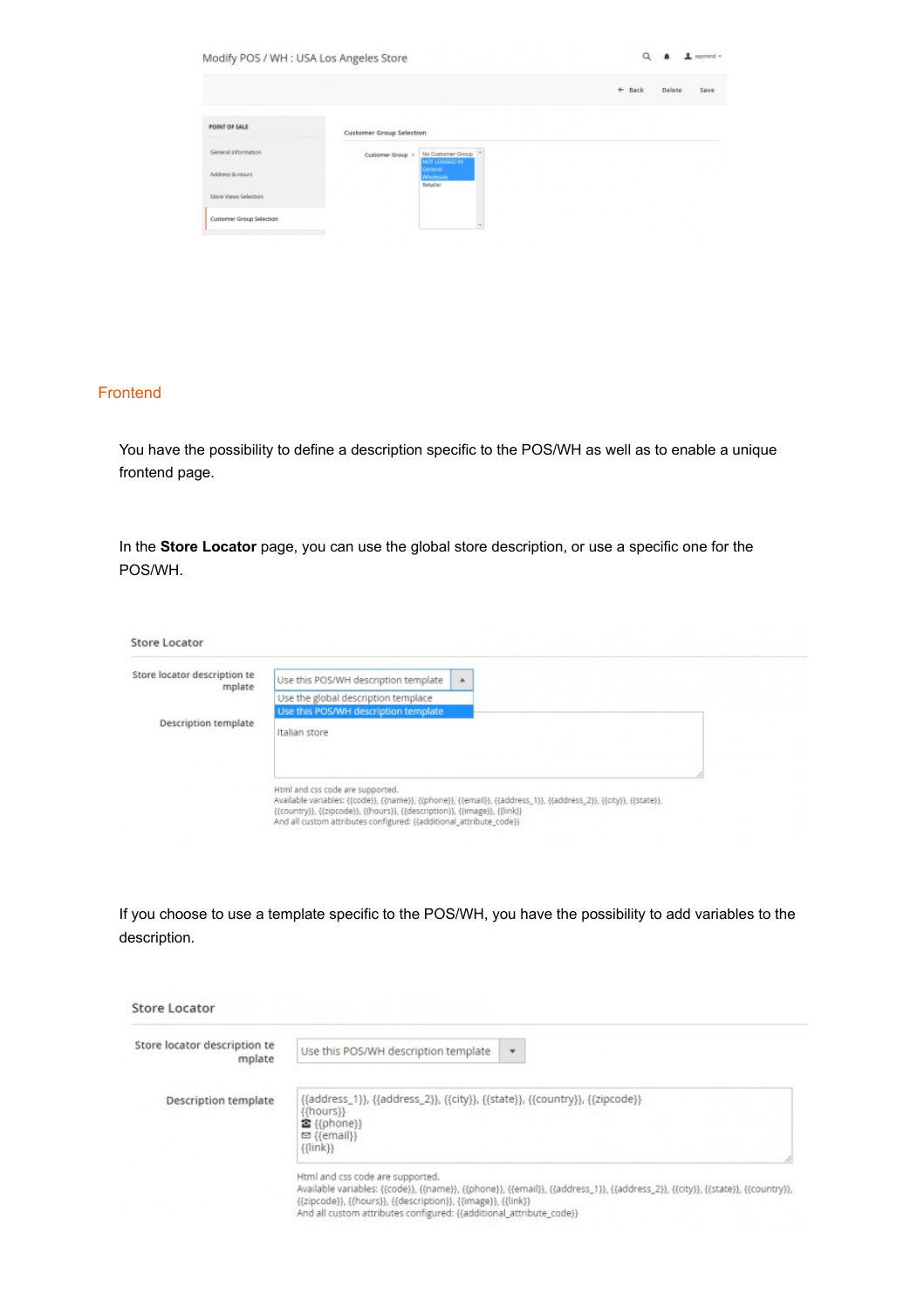| Modify POS / WH: USA Los Angeles Store |                                                        | a<br>$\perp$ wormed =              |
|----------------------------------------|--------------------------------------------------------|------------------------------------|
|                                        |                                                        | ÷<br><b>Back</b><br>Delete<br>Save |
| <b>POINT OF SALE</b>                   | Customer Group Selection                               |                                    |
| General Information                    | No Customer Group<br>Customer Group +<br>NOT LOGGED IN |                                    |
| Address & Hours                        | General<br>Wholesale<br>Retailer                       |                                    |
| Store Views Selection                  |                                                        |                                    |
| Customer Group Selection               |                                                        |                                    |

## Frontend

You have the possibility to define a description specific to the POS/WH as well as to enable a unique frontend page.

In the **Store Locator** page, you can use the global store description, or use a specific one for the POS/WH.

| Store locator description te<br>Use this POS/WH description template<br>۰<br>mplate |
|-------------------------------------------------------------------------------------|
| Use the global description templace                                                 |
| Use this POS/WH description template                                                |
| <b>Description template</b><br>Italian store                                        |
|                                                                                     |
|                                                                                     |
|                                                                                     |

If you choose to use a template specific to the POS/WH, you have the possibility to add variables to the description.

| Store locator description te | Use this POS/WH description template<br>$\mathbf{v}$                                                                                                                                                                                                                                                      |
|------------------------------|-----------------------------------------------------------------------------------------------------------------------------------------------------------------------------------------------------------------------------------------------------------------------------------------------------------|
| mplate                       |                                                                                                                                                                                                                                                                                                           |
| Description template         | {{address_1}}, {{address_2}}, {{city}}, {{state}}, {{country}}, {{zipcode}}<br>{{hours}}<br>含 {{phone}}<br>□ {{email}}<br>${ {\{ \{ \text{link} \} \}} }$                                                                                                                                                 |
|                              | Html and css code are supported.<br>Available variables: {{code}}, {{name}}, {{phone}}, {{email}}, {{address_1}}, {{address_2}}, {{city}}, {{state}}, {{country}},<br>{{zipcode}}, {{hours}}, {{description}}, {{image}}, {{link}}<br>And all custom attributes configured: {{additional_attribute_code}} |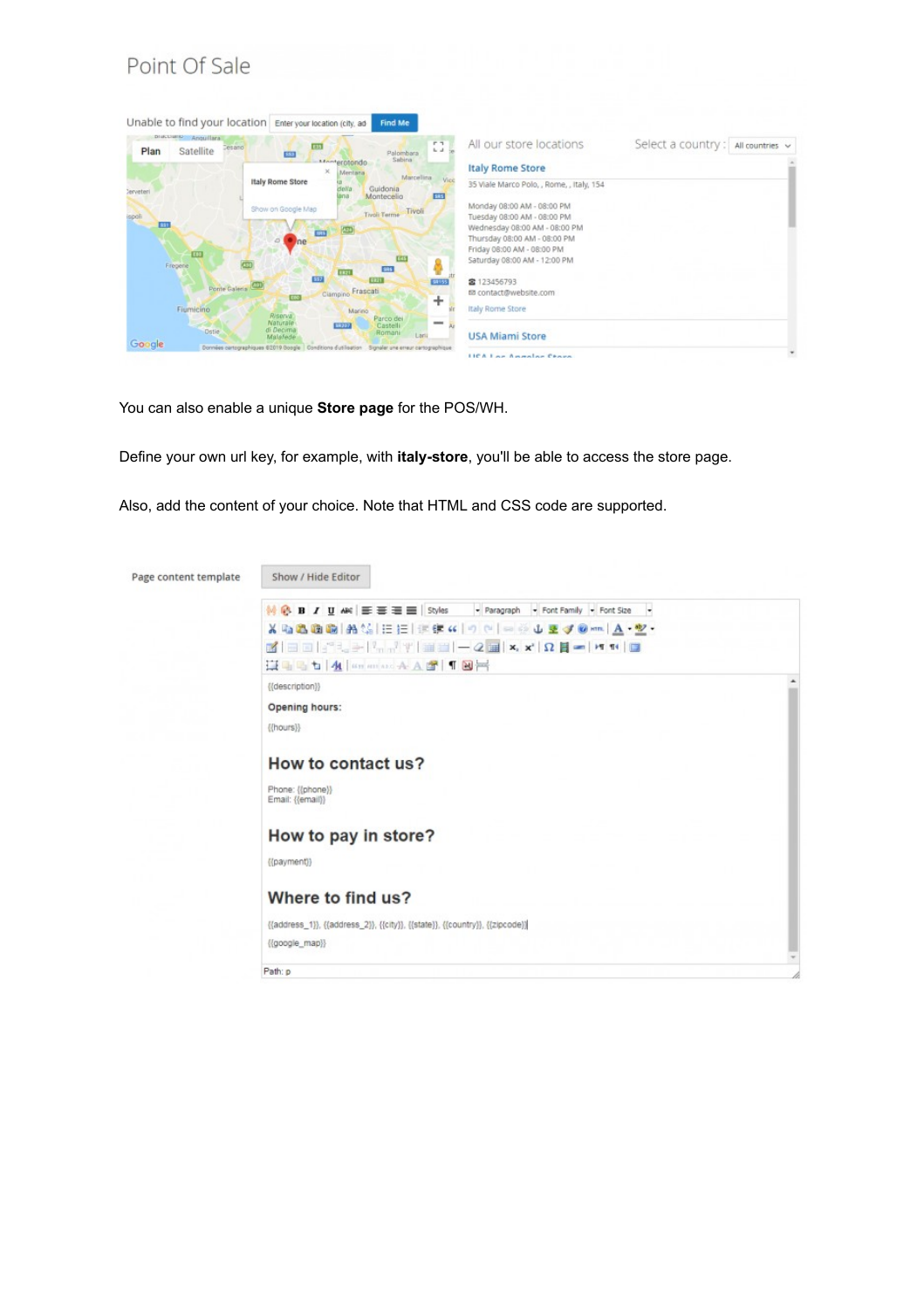## Point Of Sale



You can also enable a unique **Store page** for the POS/WH.

Define your own url key, for example, with **italy-store**, you'll be able to access the store page.

Also, add the content of your choice. Note that HTML and CSS code are supported.

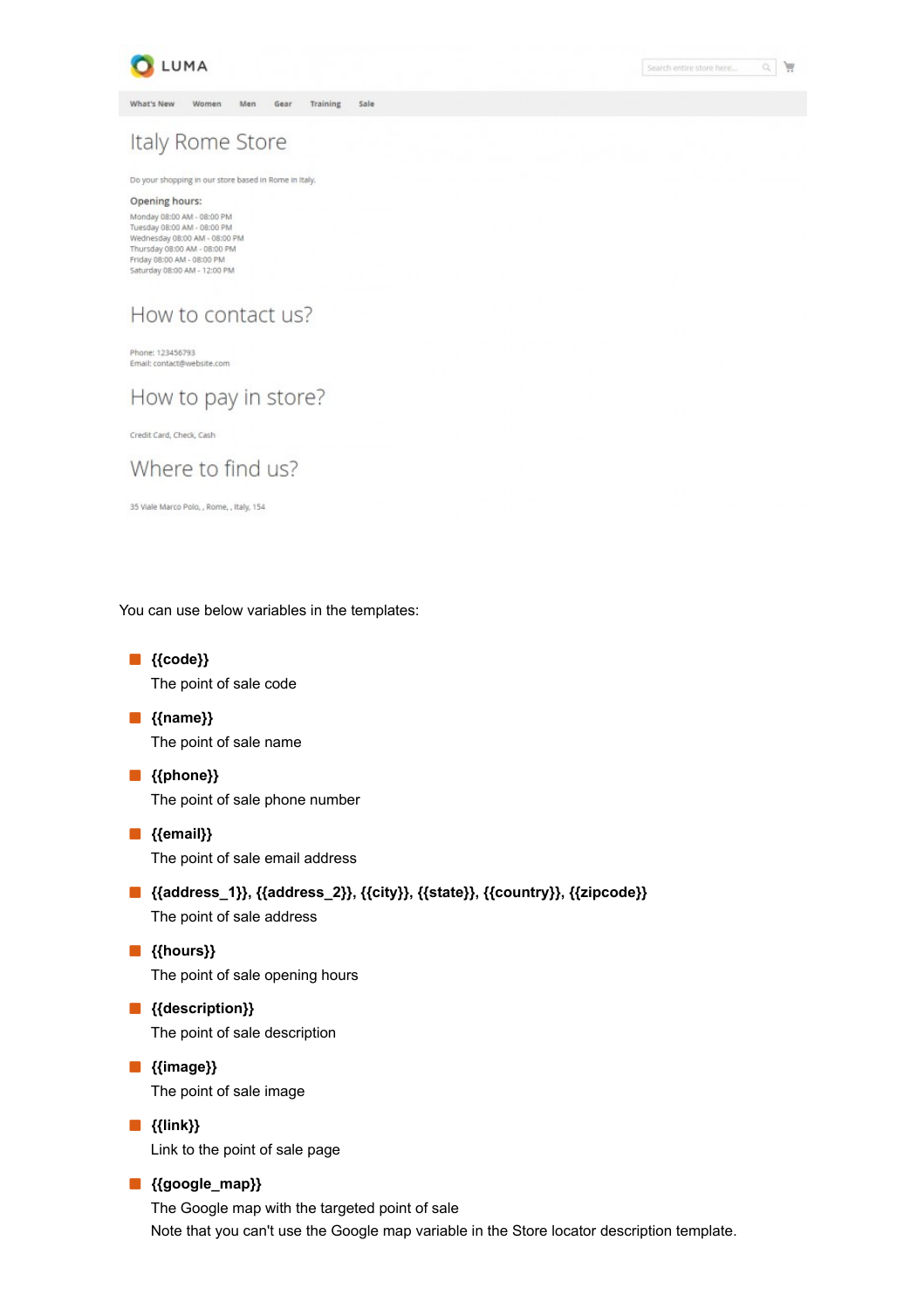

Search entire store here...

Q | |

What's New Women Men Gear Training Sale

## Italy Rome Store

Do your shopping in our store based in Rome in Italy.

#### Opening hours:

Monday 08:00 AM - 08:00 PM<br>Tuesday 08:00 AM - 08:00 PM Wednesday 08:00 AM - 08:00 PM<br>Thursday 08:00 AM - 08:00 PM Friday 08:00 AM - 08:00 PM Saturday 08:00 AM - 12:00 PM

## How to contact us?

Phone: 123456793 Email: contact@website.com

How to pay in store?

Credit Card, Check, Cash

## Where to find us?

35 Viale Marco Polo, , Rome, , Italy, 154

You can use below variables in the templates:

- **{{code}}** The point of sale code
- **{{name}}** The point of sale name
- **{{phone}}** The point of sale phone number
- **{{email}}** The point of sale email address
- **{{address\_1}}, {{address\_2}}, {{city}}, {{state}}, {{country}}, {{zipcode}}** The point of sale address
- **{{hours}}** The point of sale opening hours
- **{{description}}** The point of sale description
- **{{image}}** The point of sale image
- **{{link}}** Link to the point of sale page

## **{{google\_map}}**

The Google map with the targeted point of sale Note that you can't use the Google map variable in the Store locator description template.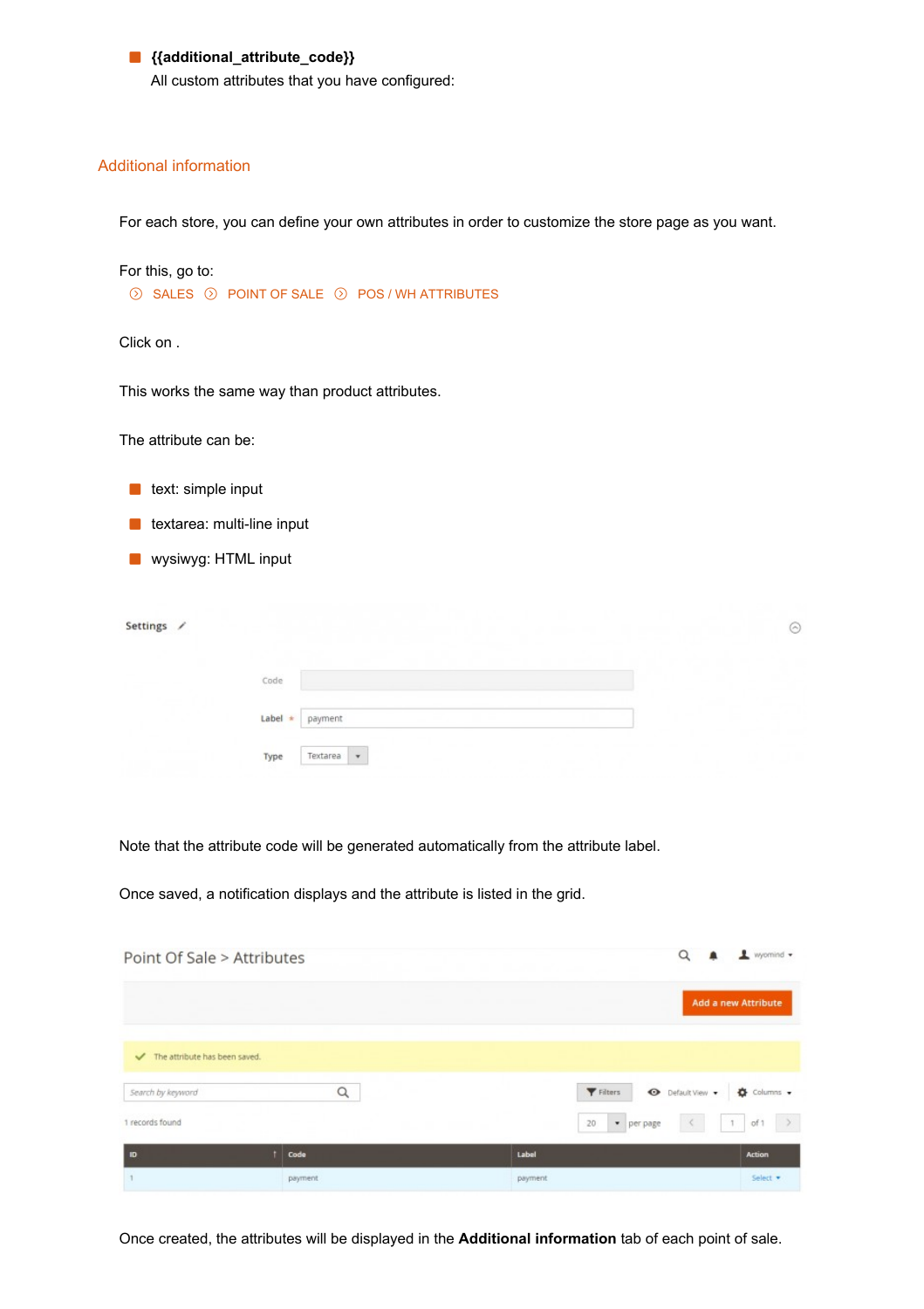## **{{additional\_attribute\_code}}**

All custom attributes that you have configured:

## Additional information

For each store, you can define your own attributes in order to customize the store page as you want.

For this, go to:

 $\odot$  SALES  $\odot$  POINT OF SALE  $\odot$  POS / WH ATTRIBUTES

Click on .

This works the same way than product attributes.

The attribute can be:

- $\blacksquare$  text: simple input
- **textarea: multi-line input**
- **wysiwyg: HTML input**

| Settings / |                             | ᠗ |
|------------|-----------------------------|---|
|            | $\mathsf{Code}$             |   |
|            | Label $\star$ payment       |   |
|            | $\star$<br>Textarea<br>Type |   |

Note that the attribute code will be generated automatically from the attribute label.

Once saved, a notification displays and the attribute is listed in the grid.

| Point Of Sale > Attributes                    |         | Q                                                         | $\mathbf 1$ wyomind $\mathbf -$ |
|-----------------------------------------------|---------|-----------------------------------------------------------|---------------------------------|
|                                               |         |                                                           | Add a new Attribute             |
| The attribute has been saved.<br>$\checkmark$ |         |                                                           |                                 |
| Search by keyword                             | Q       | Filters<br>O Default View .                               | $\bullet$ Columns $\bullet$     |
| 1 records found                               |         | $\langle$<br>$\mathcal{C}(\mathcal{T})$<br>20<br>per page | $\rightarrow$<br>of 1           |
| <b>ID</b>                                     | Code    | Label                                                     | <b>Action</b>                   |
|                                               | payment | payment                                                   | Select <b>*</b>                 |

Once created, the attributes will be displayed in the **Additional information** tab of each point of sale.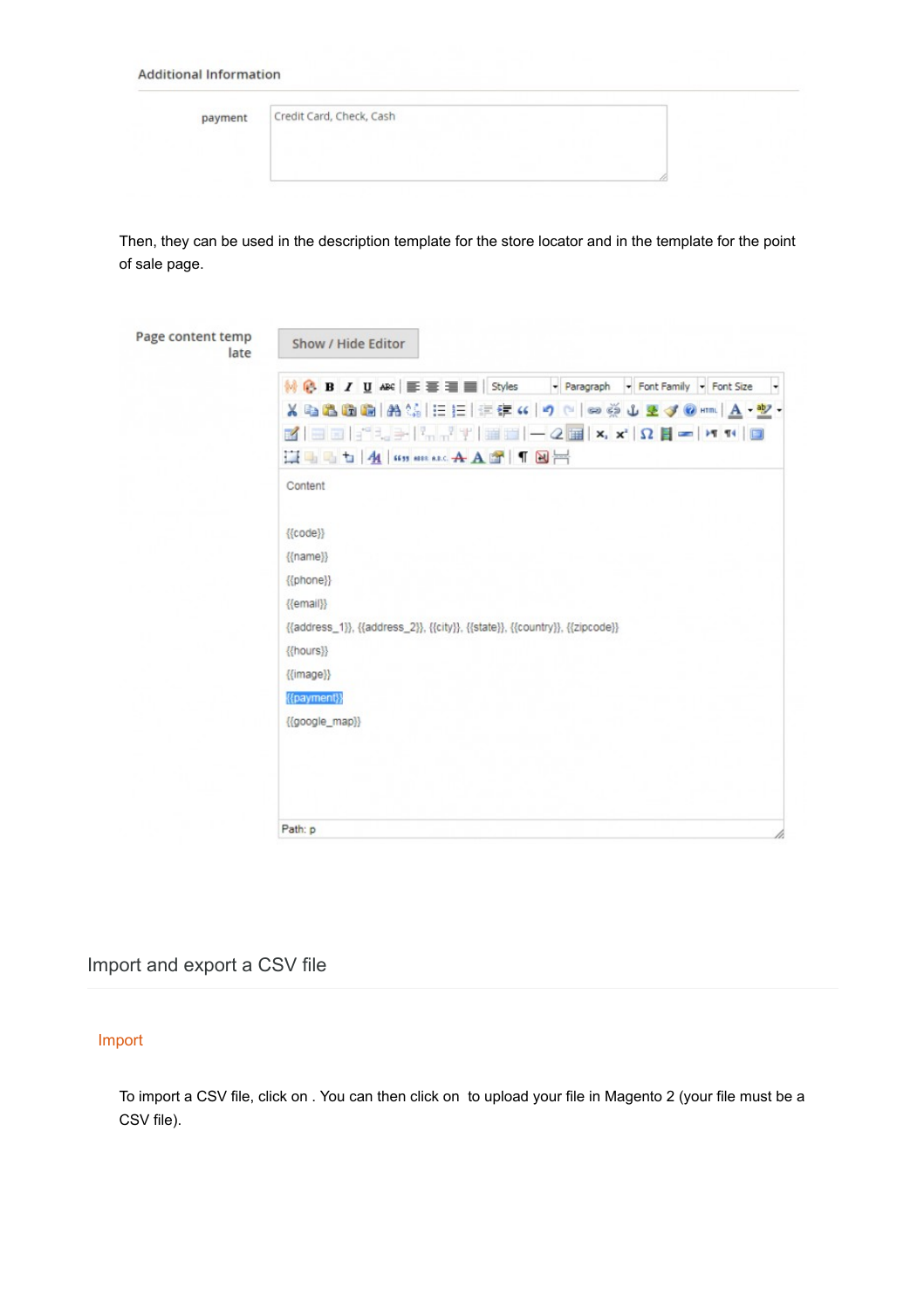#### **Additional Information**

| payment | Credit Card, Check, Cash |  |  |  |  |
|---------|--------------------------|--|--|--|--|
|         |                          |  |  |  |  |
|         |                          |  |  |  |  |

Then, they can be used in the description template for the store locator and in the template for the point of sale page.

| $\mathbb{N} \times \mathbb{R}$ $\blacksquare$ $\blacksquare$ $\blacksquare$ $\blacksquare$ $\blacksquare$ $\blacksquare$ $\blacksquare$ $\blacksquare$ $\blacksquare$ $\blacksquare$ $\blacksquare$ $\blacksquare$ $\blacksquare$ $\blacksquare$ $\blacksquare$ $\blacksquare$ $\blacksquare$ $\blacksquare$ $\blacksquare$ $\blacksquare$ $\blacksquare$ $\blacksquare$ $\blacksquare$ $\blacksquare$ $\blacksquare$ $\blacksquare$ $\blacksquare$ $\blacksquare$ $\blacksquare$<br>- Paragraph<br>Font Family Font Size<br>۰ |
|--------------------------------------------------------------------------------------------------------------------------------------------------------------------------------------------------------------------------------------------------------------------------------------------------------------------------------------------------------------------------------------------------------------------------------------------------------------------------------------------------------------------------------|
| ※「白色的的 お集 に担け年に クロ の美山王ダ⊙nm A・塾・                                                                                                                                                                                                                                                                                                                                                                                                                                                                                               |
| $\boxed{\mathbf{H}} = \begin{pmatrix} -2 & \mathbf{H} & \mathbf{x}, & \mathbf{x}, & \mathbf{y} \end{pmatrix}$<br>日日十八日<br>$\mathbb{F}_{m,n}$ $\mathbb{F}_{m}$<br>$\mathcal{A}$                                                                                                                                                                                                                                                                                                                                                 |
| HID THAI HIS MER ARE A A LOT THE                                                                                                                                                                                                                                                                                                                                                                                                                                                                                               |
| Content                                                                                                                                                                                                                                                                                                                                                                                                                                                                                                                        |
| ${$ { ${code}}$ }}                                                                                                                                                                                                                                                                                                                                                                                                                                                                                                             |
| {{name}}                                                                                                                                                                                                                                                                                                                                                                                                                                                                                                                       |
| {{phone}}                                                                                                                                                                                                                                                                                                                                                                                                                                                                                                                      |
| {{email}}                                                                                                                                                                                                                                                                                                                                                                                                                                                                                                                      |
| {{address_1}}, {{address_2}}, {{city}}, {{state}}, {{country}}, {{zipcode}}                                                                                                                                                                                                                                                                                                                                                                                                                                                    |
| {{hours}}                                                                                                                                                                                                                                                                                                                                                                                                                                                                                                                      |
| {{image}}                                                                                                                                                                                                                                                                                                                                                                                                                                                                                                                      |
| {{payment}}                                                                                                                                                                                                                                                                                                                                                                                                                                                                                                                    |
| {{google_map}}                                                                                                                                                                                                                                                                                                                                                                                                                                                                                                                 |
|                                                                                                                                                                                                                                                                                                                                                                                                                                                                                                                                |
|                                                                                                                                                                                                                                                                                                                                                                                                                                                                                                                                |
|                                                                                                                                                                                                                                                                                                                                                                                                                                                                                                                                |
|                                                                                                                                                                                                                                                                                                                                                                                                                                                                                                                                |

## Import and export a CSV file

## Import

To import a CSV file, click on . You can then click on to upload your file in Magento 2 (your file must be a CSV file).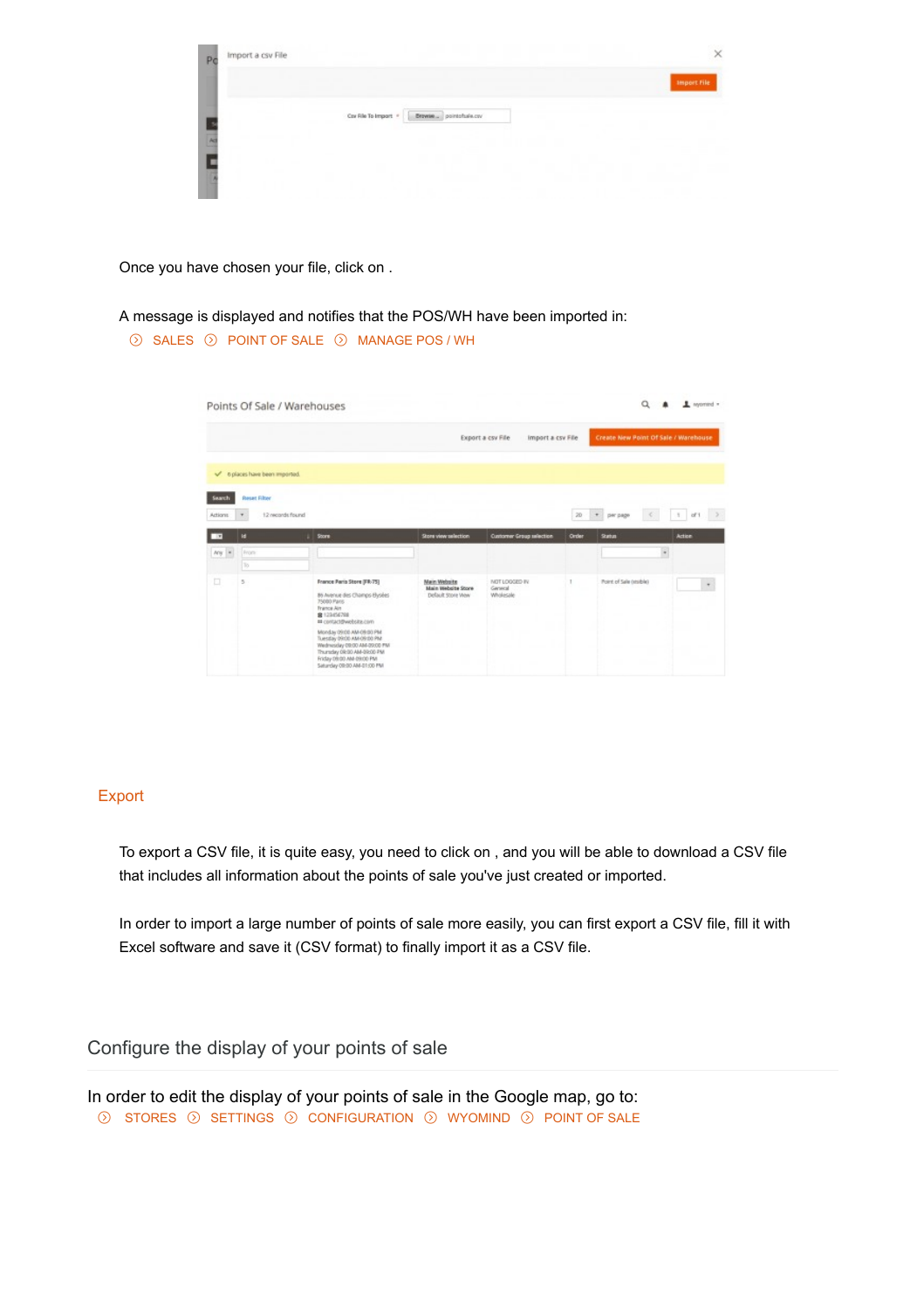| Import a csv File<br>Po |                                             |             |
|-------------------------|---------------------------------------------|-------------|
|                         |                                             | Import File |
|                         | Car File To Import<br>Browse _ pointshakery |             |
| $\frac{1}{2}$           |                                             |             |
|                         |                                             |             |
|                         |                                             |             |

Once you have chosen your file, click on .

## A message is displayed and notifies that the POS/WH have been imported in:

## $\odot$  SALES  $\odot$  POINT OF SALE  $\odot$  MANAGE POS / WH

|         | Points Of Sale / Warehouses |                                                                          |                                                         |                                        |       | $^{\circ}$                           | $\blacksquare$ womend =                    |
|---------|-----------------------------|--------------------------------------------------------------------------|---------------------------------------------------------|----------------------------------------|-------|--------------------------------------|--------------------------------------------|
|         |                             |                                                                          |                                                         | Export a csv File<br>import a csv File |       | Create New Point Of Sale / Warehouse |                                            |
|         | Splaces have been imported. |                                                                          |                                                         |                                        |       |                                      |                                            |
| Search  | <b>Reset Filter</b>         |                                                                          |                                                         |                                        |       |                                      |                                            |
| Actions | 12 records found<br>٠       |                                                                          |                                                         |                                        | 20    | $\pi$<br>×<br>per page               | $\rightarrow$<br>$df$ 1<br>$\mathcal{N}$ . |
| œ       | <b>R</b>                    | Store                                                                    | Store view selection                                    | Customer Group selection               | Order | <b>Startun</b>                       | <b>Action</b>                              |
| $Ary$ = | From                        |                                                                          |                                                         |                                        |       | ×                                    |                                            |
|         | To.                         |                                                                          |                                                         |                                        |       |                                      |                                            |
| o       | 5                           | France Paris Store (FR-75)<br>86 Avenue des Champs-Bysées<br>75000 Paris | Main Website<br>Main Website Store<br>Default 500re Wew | NOT LOOGED IN<br>General<br>Wholesale  |       | Point of Sale (visible)              |                                            |

## Export

To export a CSV file, it is quite easy, you need to click on , and you will be able to download a CSV file that includes all information about the points of sale you've just created or imported.

In order to import a large number of points of sale more easily, you can first export a CSV file, fill it with Excel software and save it (CSV format) to finally import it as a CSV file.

Configure the display of your points of sale

In order to edit the display of your points of sale in the Google map, go to:  $\circledS$  STORES  $\circledS$  SETTINGS  $\circledS$  CONFIGURATION  $\circledS$  WYOMIND  $\circledS$  POINT OF SALE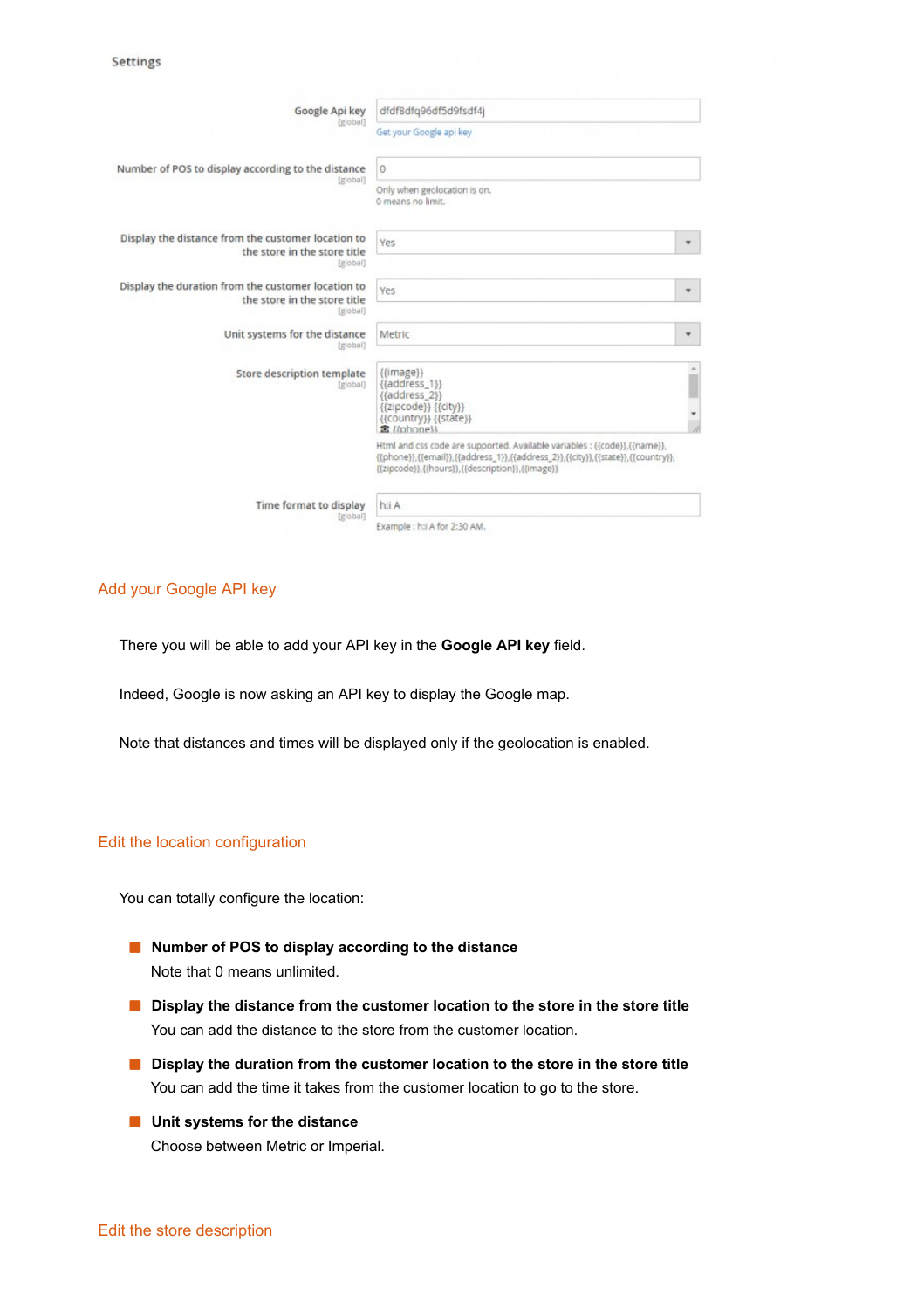| Google Api key                                                                                 | dfdf8dfg96df5d9fsdf4j                                                                                                                                                                                            |
|------------------------------------------------------------------------------------------------|------------------------------------------------------------------------------------------------------------------------------------------------------------------------------------------------------------------|
| [global]                                                                                       | Get your Google api key                                                                                                                                                                                          |
| Number of POS to display according to the distance                                             | 0                                                                                                                                                                                                                |
| [global]                                                                                       | Only when geolocation is on.<br>0 means no limit.                                                                                                                                                                |
| Display the distance from the customer location to<br>the store in the store title<br>[global] | Yes<br>۳                                                                                                                                                                                                         |
| Display the duration from the customer location to<br>the store in the store title<br>[global] | Yes<br>۳                                                                                                                                                                                                         |
| Unit systems for the distance<br>[global]                                                      | Metric<br>٠                                                                                                                                                                                                      |
| Store description template<br>[global]                                                         | ${ {image}\rangle}$<br>$\{[address 1]\}$<br>{{address_2}}<br>{{zipcode}} {{city}}<br>{{country}} {{state}}<br><b>常</b> ((phone))                                                                                 |
|                                                                                                | Html and css code are supported. Available variables : {{code}}, {{name}},<br>{{phone}},{{email}},{{address_1}},{{address_2}},{{city}},{{state}},{{country}},<br>{{zipcode}},{{hours}},{{description}},{{image}} |
| Time format to display                                                                         | h:i A                                                                                                                                                                                                            |
| [global]                                                                                       | Example : h:i A for 2:30 AM.                                                                                                                                                                                     |

## Add your Google API key

There you will be able to add your API key in the **Google API key** field.

Indeed, Google is now asking an API key to display the Google map.

Note that distances and times will be displayed only if the geolocation is enabled.

### Edit the location configuration

You can totally configure the location:

- **Number of POS to display according to the distance** Note that 0 means unlimited.
- **Display the distance from the customer location to the store in the store title** You can add the distance to the store from the customer location.
- **Display the duration from the customer location to the store in the store title** You can add the time it takes from the customer location to go to the store.
- **Unit systems for the distance** Choose between Metric or Imperial.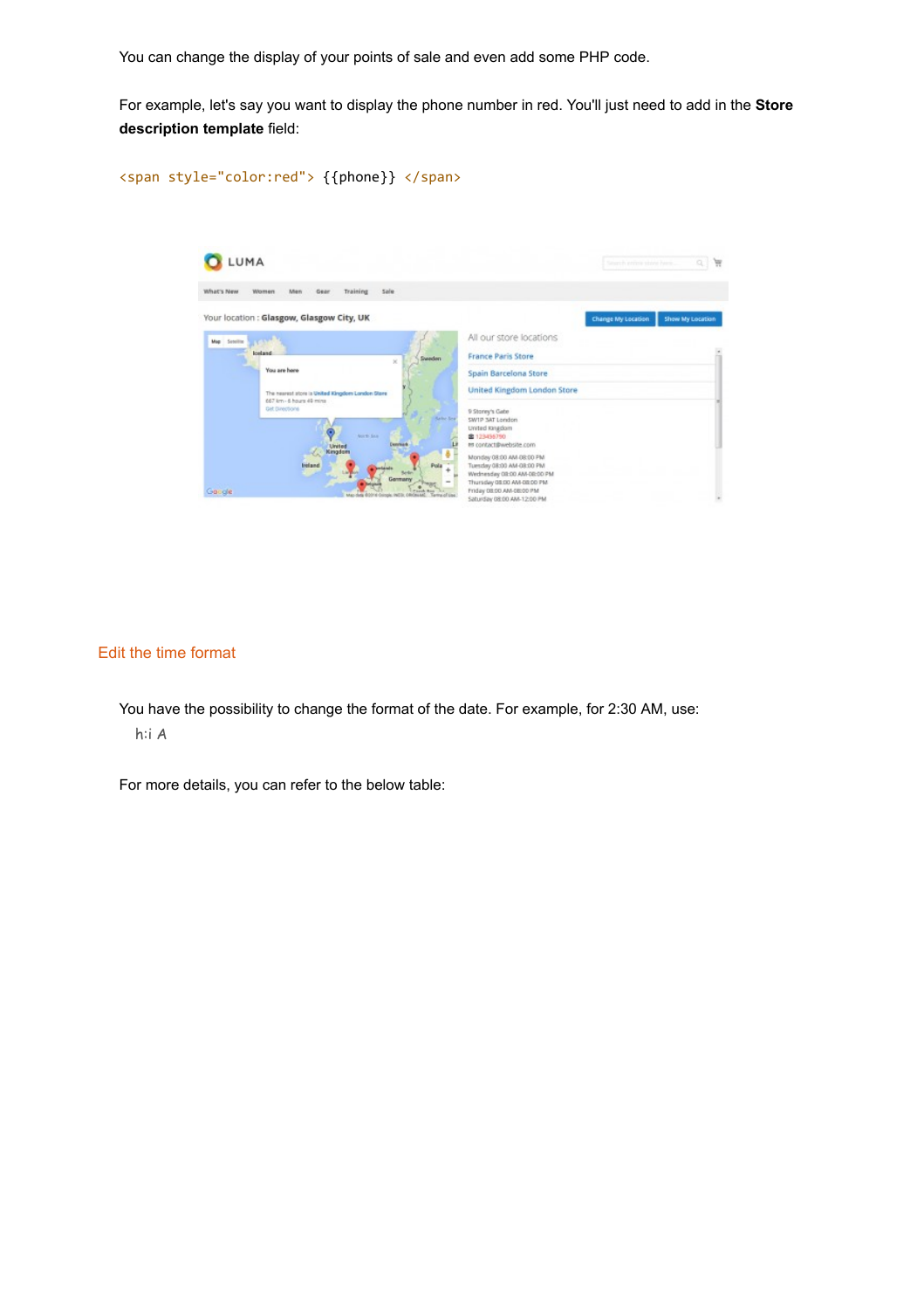You can change the display of your points of sale and even add some PHP code.

For example, let's say you want to display the phone number in red. You'll just need to add in the **Store description template** field:

<span style="color:red"> {{phone}} </span>



## Edit the time format

You have the possibility to change the format of the date. For example, for 2:30 AM, use: h:i A

For more details, you can refer to the below table: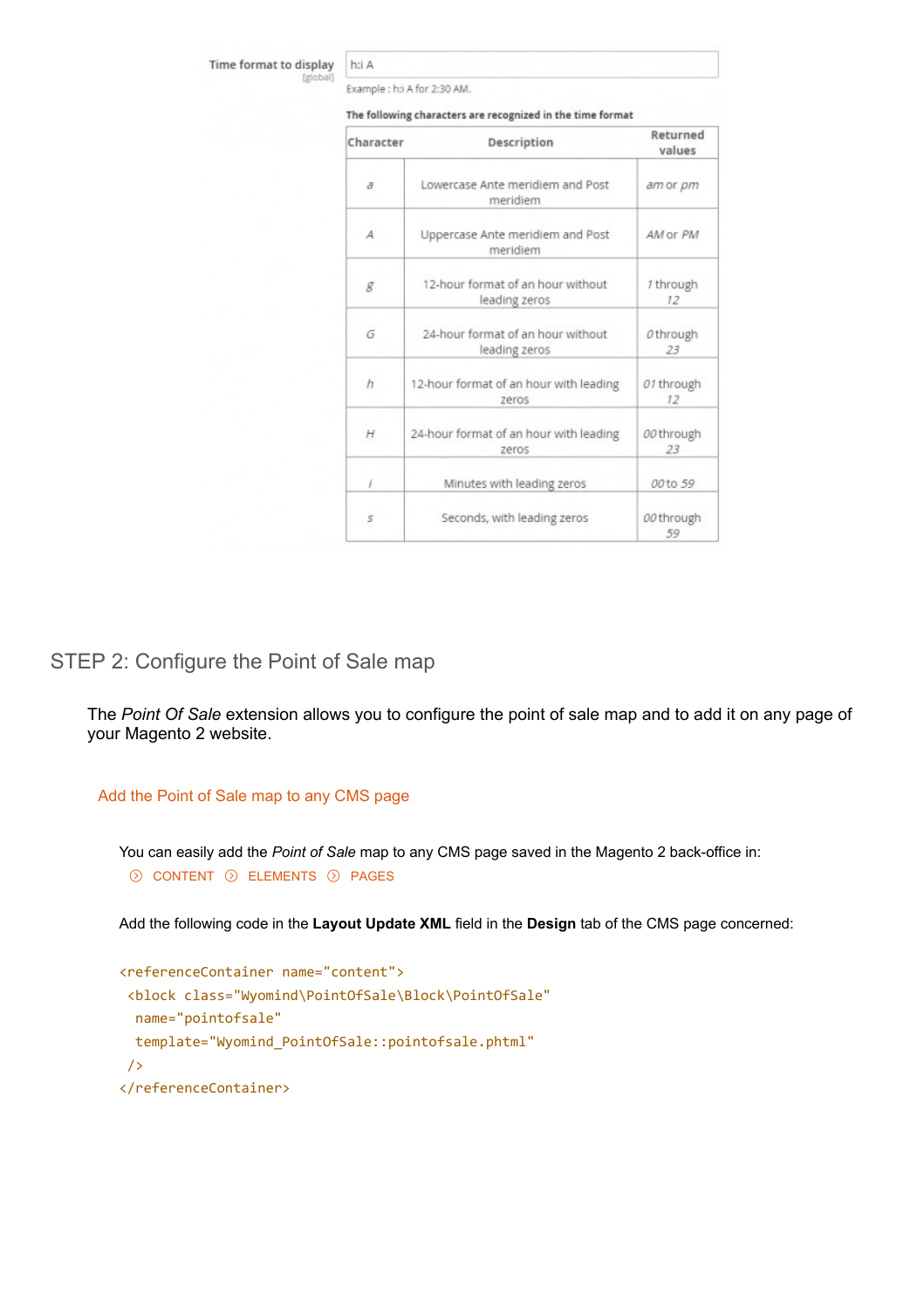Time format to display [global]

Example : h:i A for 2:30 AM.

h:i A

| Character  | Description                                        | Returned<br>values |
|------------|----------------------------------------------------|--------------------|
| $\partial$ | Lowercase Ante meridiem and Post<br>meridiem       | am or pm           |
| А          | Uppercase Ante meridiem and Post<br>meridiem       | AM or PM           |
| g          | 12-hour format of an hour without<br>leading zeros | 1 through<br>12    |
| G          | 24-hour format of an hour without<br>leading zeros | 0 through<br>23    |
| h          | 12-hour format of an hour with leading<br>zeros    | 01 through<br>12   |
| Н          | 24-hour format of an hour with leading<br>zeros    | 00 through<br>23   |
| í          | Minutes with leading zeros                         | 00 to 59           |
| 5          | Seconds, with leading zeros                        | 00 through<br>59   |

The following characters are recognized in the time format

## STEP 2: Configure the Point of Sale map

The *Point Of Sale* extension allows you to configure the point of sale map and to add it on any page of your Magento 2 website.

## Add the Point of Sale map to any CMS page

You can easily add the *Point of Sale* map to any CMS page saved in the Magento 2 back-office in:  $\odot$  CONTENT  $\odot$  ELEMENTS  $\odot$  PAGES

Add the following code in the **Layout Update XML** field in the **Design** tab of the CMS page concerned:

```
<referenceContainer name="content">
<block class="Wyomind\PointOfSale\Block\PointOfSale"
  name="pointofsale"
  template="Wyomind_PointOfSale::pointofsale.phtml"
/>
</referenceContainer>
```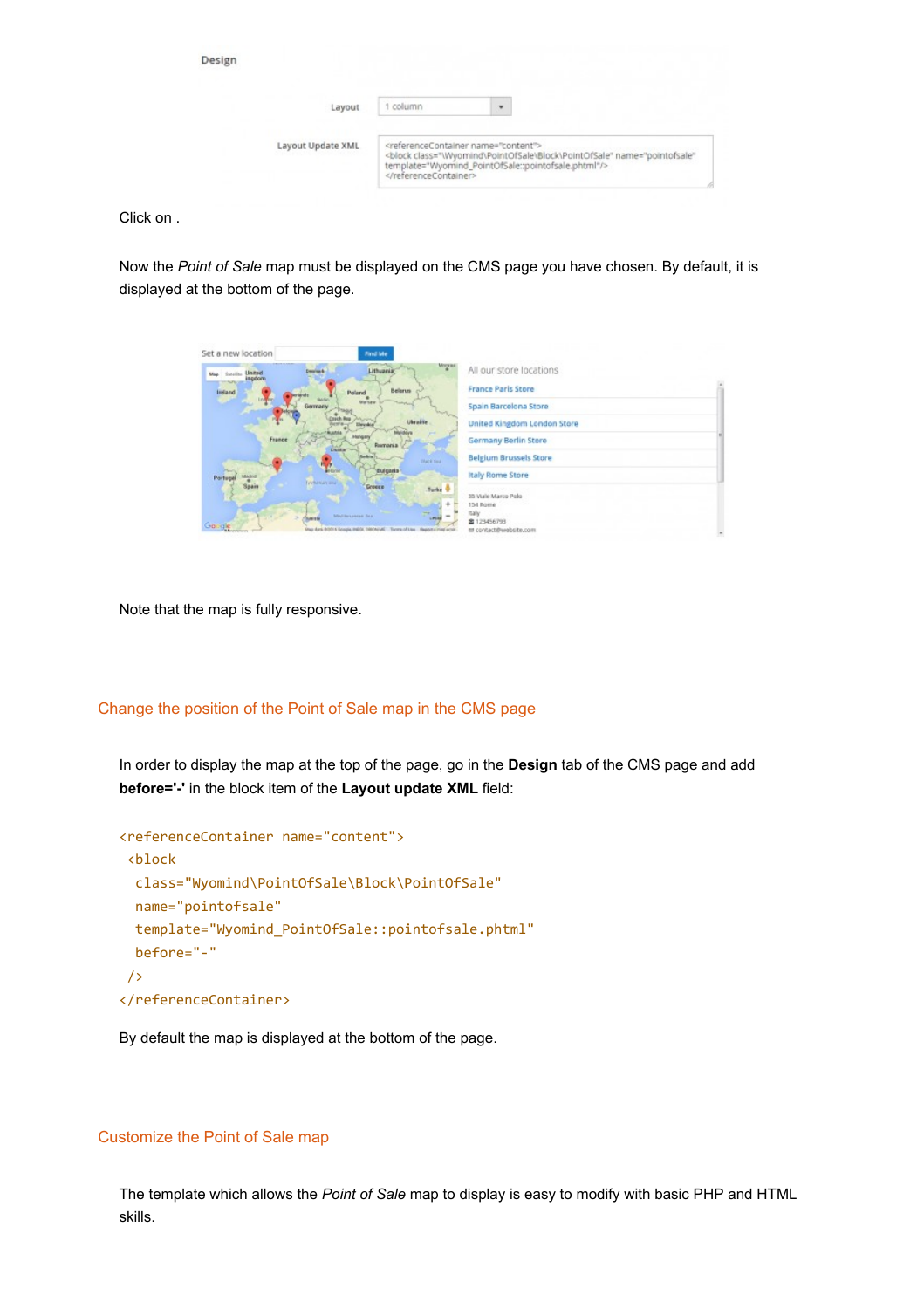| Design            |        |                                                                                                                                                                                                             |  |
|-------------------|--------|-------------------------------------------------------------------------------------------------------------------------------------------------------------------------------------------------------------|--|
| Layout            | column | $\cdot$                                                                                                                                                                                                     |  |
| Layout Update XML |        | <referencecontainer name="content"><br/><block <br="" class="\Wyomind\PointOfSale\Block\PointOfSale" name="pointofsale">template="Wyomind_PointOfSale::pointofsale.phtml"/&gt;</block></referencecontainer> |  |

Click on .

Now the *Point of Sale* map must be displayed on the CMS page you have chosen. By default, it is displayed at the bottom of the page.

| Set a new location      | Find Me                                                            |                                   |  |
|-------------------------|--------------------------------------------------------------------|-----------------------------------|--|
| United<br>ingdom        | <b>Morant</b><br>Lithuania <sup>®</sup><br>Despiso &               | All our store locations           |  |
| lieland                 | <b>Belanus</b><br>Poland                                           | <b>France Paris Store</b>         |  |
|                         | <b>Warner</b>                                                      | Spain Barcelona Store             |  |
|                         | Ukraiše                                                            | United Kingdom London Store       |  |
| France                  | Romania<br><b>CHARLES</b>                                          | Germany Berlin Store              |  |
|                         | Diack Sea                                                          | <b>Belgium Brussels Store</b>     |  |
| Portuga<br><b>Spain</b> | <b>Bulgaria</b><br><b>Technical Sea</b><br>Greece                  | <b>Italy Rome Store</b>           |  |
|                         | Turke <sup>1</sup>                                                 | 35 Wale Marco Polo                |  |
|                         | Mediterransas Jaw                                                  | 154 Rome<br>Italy.<br>重 123456793 |  |
| Godde                   | Reg data 02015 Sougie, INDS, 09054ML Terms of Use Reports medients | es contactifiviebsite.com         |  |

Note that the map is fully responsive.

## Change the position of the Point of Sale map in the CMS page

In order to display the map at the top of the page, go in the **Design** tab of the CMS page and add **before='-'** in the block item of the **Layout update XML** field:

```
<referenceContainer name="content">
<block
  class="Wyomind\PointOfSale\Block\PointOfSale"
  name="pointofsale"
  template="Wyomind_PointOfSale::pointofsale.phtml"
  before="-"
/>
</referenceContainer>
```
By default the map is displayed at the bottom of the page.

## Customize the Point of Sale map

The template which allows the *Point of Sale* map to display is easy to modify with basic PHP and HTML skills.